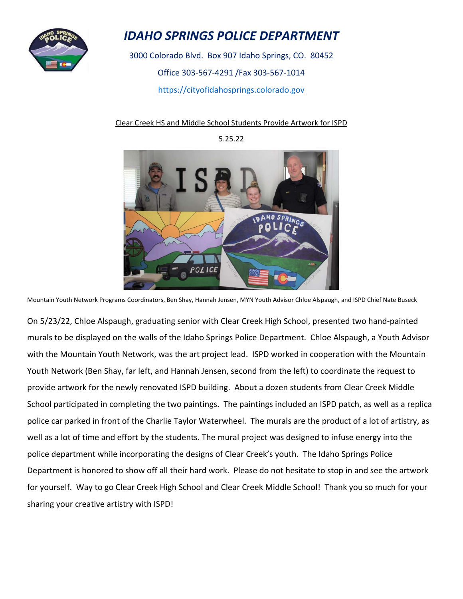

## *IDAHO SPRINGS POLICE DEPARTMENT*

3000 Colorado Blvd. Box 907 Idaho Springs, CO. 80452 Office 303‐567‐4291 /Fax 303‐567‐1014 https://cityofidahosprings.colorado.gov

## Clear Creek HS and Middle School Students Provide Artwork for ISPD

5.25.22



Mountain Youth Network Programs Coordinators, Ben Shay, Hannah Jensen, MYN Youth Advisor Chloe Alspaugh, and ISPD Chief Nate Buseck

On 5/23/22, Chloe Alspaugh, graduating senior with Clear Creek High School, presented two hand‐painted murals to be displayed on the walls of the Idaho Springs Police Department. Chloe Alspaugh, a Youth Advisor with the Mountain Youth Network, was the art project lead. ISPD worked in cooperation with the Mountain Youth Network (Ben Shay, far left, and Hannah Jensen, second from the left) to coordinate the request to provide artwork for the newly renovated ISPD building. About a dozen students from Clear Creek Middle School participated in completing the two paintings. The paintings included an ISPD patch, as well as a replica police car parked in front of the Charlie Taylor Waterwheel. The murals are the product of a lot of artistry, as well as a lot of time and effort by the students. The mural project was designed to infuse energy into the police department while incorporating the designs of Clear Creek's youth. The Idaho Springs Police Department is honored to show off all their hard work. Please do not hesitate to stop in and see the artwork for yourself. Way to go Clear Creek High School and Clear Creek Middle School! Thank you so much for your sharing your creative artistry with ISPD!